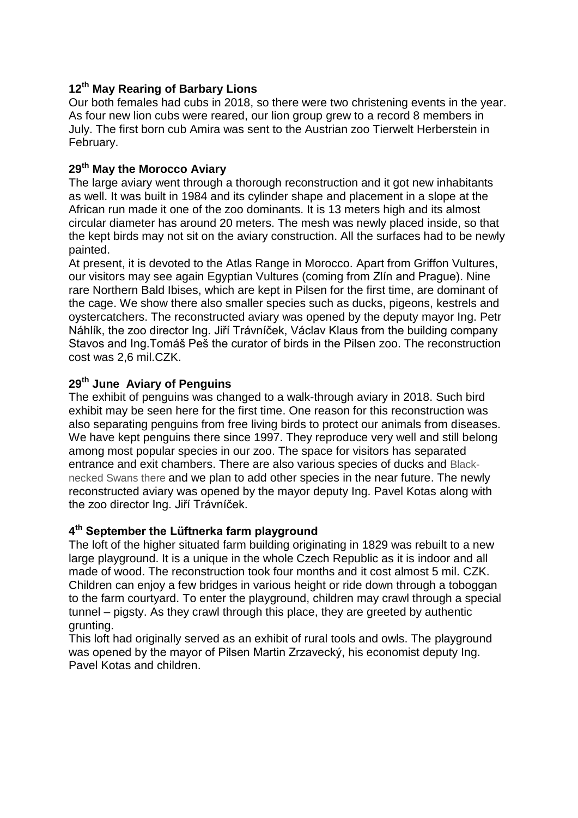# **12th May Rearing of Barbary Lions**

Our both females had cubs in 2018, so there were two christening events in the year. As four new lion cubs were reared, our lion group grew to a record 8 members in July. The first born cub Amira was sent to the Austrian zoo Tierwelt Herberstein in February.

# **29th May the Morocco Aviary**

The large aviary went through a thorough reconstruction and it got new inhabitants as well. It was built in 1984 and its cylinder shape and placement in a slope at the African run made it one of the zoo dominants. It is 13 meters high and its almost circular diameter has around 20 meters. The mesh was newly placed inside, so that the kept birds may not sit on the aviary construction. All the surfaces had to be newly painted.

At present, it is devoted to the Atlas Range in Morocco. Apart from Griffon Vultures, our visitors may see again Egyptian Vultures (coming from Zlín and Prague). Nine rare Northern Bald Ibises, which are kept in Pilsen for the first time, are dominant of the cage. We show there also smaller species such as ducks, pigeons, kestrels and oystercatchers. The reconstructed aviary was opened by the deputy mayor Ing. Petr Náhlík, the zoo director Ing. Jiří Trávníček, Václav Klaus from the building company Stavos and Ing.Tomáš Peš the curator of birds in the Pilsen zoo. The reconstruction cost was 2,6 mil.CZK.

# **29th June Aviary of Penguins**

The exhibit of penguins was changed to a walk-through aviary in 2018. Such bird exhibit may be seen here for the first time. One reason for this reconstruction was also separating penguins from free living birds to protect our animals from diseases. We have kept penguins there since 1997. They reproduce very well and still belong among most popular species in our zoo. The space for visitors has separated entrance and exit chambers. There are also various species of ducks and Blacknecked Swans there and we plan to add other species in the near future. The newly reconstructed aviary was opened by the mayor deputy Ing. Pavel Kotas along with the zoo director Ing. Jiří Trávníček.

# **4 th September the Lüftnerka farm playground**

The loft of the higher situated farm building originating in 1829 was rebuilt to a new large playground. It is a unique in the whole Czech Republic as it is indoor and all made of wood. The reconstruction took four months and it cost almost 5 mil. CZK. Children can enjoy a few bridges in various height or ride down through a toboggan to the farm courtyard. To enter the playground, children may crawl through a special tunnel – pigsty. As they crawl through this place, they are greeted by authentic grunting.

This loft had originally served as an exhibit of rural tools and owls. The playground was opened by the mayor of Pilsen Martin Zrzavecký, his economist deputy Ing. Pavel Kotas and children.